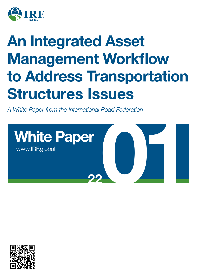

# **An Integrated Asset Management Workflow to Address Transportation Structures Issues**

*A White Paper from the International Road Federation*



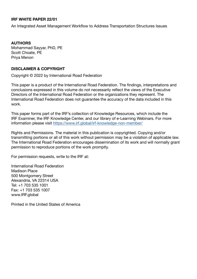#### **IRF WHITE PAPER 22/01**

An Integrated Asset Management Workflow to Address Transportation Structures Issues

#### **AUTHORS**

Mohammad Sayyar, PhD, PE Scott Choate, PE Priya Menon

#### **DISCLAIMER & COPYRIGHT**

Copyright © 2022 by International Road Federation

This paper is a product of the International Road Federation. The findings, interpretations and conclusions expressed in this volume do not necessarily reflect the views of the Executive Directors of the International Road Federation or the organizations they represent. The International Road Federation does not guarantee the accuracy of the data included in this work.

This paper forms part of the IRF's collection of Knowledge Resources, which include the IRF Examiner, the IRF Knowledge Center, and our library of e-Learning Webinars. For more information please visit https://www.irf.global/irf-knowledge-non-member/

Rights and Permissions. The material in this publication is copyrighted. Copying and/or transmitting portions or all of this work without permission may be a violation of applicable law. The International Road Federation encourages dissemination of its work and will normally grant permission to reproduce portions of the work promptly.

For permission requests, write to the IRF at:

International Road Federation Madison Place 500 Montgomery Street Alexandria, VA 22314 USA Tel: +1 703 535 1001 Fax: +1 703 535 1007 www.IRF.global

Printed in the United States of America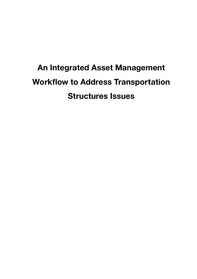## **An Integrated Asset Management Workflow to Address Transportation Structures Issues**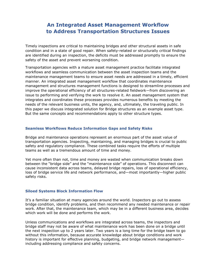### **An Integrated Asset Management Workflow to Address Transportation Structures Issues**

Timely inspections are critical to maintaining bridges and other structural assets in safe condition and in a state of good repair. When safety-related or structurally critical findings are identified during an inspection, the deficits must be addressed promptly to ensure the safety of the asset and prevent worsening condition.

Transportation agencies with a mature asset management practice facilitate integrated workflows and seamless communication between the asset inspection teams and the maintenance management teams to ensure asset needs are addressed in a timely, efficient manner. An integrated asset management workflow that coordinates maintenance management and structures management functions is designed to streamline processes and improve the operational efficiency of all structures-related fieldwork—from discovering an issue to performing and verifying the work to resolve it. An asset management system that integrates and coordinates these processes provides numerous benefits by meeting the needs of the relevant business units, the agency, and, ultimately, the traveling public. In this paper we discuss integrated solution for Bridge structures as an example asset type. But the same concepts and recommendations apply to other structure types.

#### **Seamless Workflows Reduce Information Gaps and Safety Risks**

Bridge and maintenance operations represent an enormous part of the asset value of transportation agencies. Inspecting, maintaining, and managing bridges is crucial to public safety and regulatory compliance. These combined tasks require the efforts of multiple teams as well as a tremendous amount of time and money.

Yet more often than not, time and money are wasted when communication breaks down between the "bridge side" and the "maintenance side" of operations. This disconnect can cause inconsistent data across teams, delayed bridge repairs, loss of operational efficiency, loss of bridge service life and network performance, and—most importantly—higher public safety risks.

#### **Siloed Systems Block Information Flow**

It's a familiar situation at many agencies around the world. Inspectors go out to assess bridge condition, identify problems, and then recommend any needed maintenance or repair work. After that, the maintenance team, which may be in a different business area, decides which work will be done and performs the work.

Unless communications and workflows are integrated across teams, the inspectors and bridge staff may not be aware of what maintenance work has been done on a bridge until the next inspection up to 2 years later. Two years is a long time for the bridge team to go without this information, because accurate knowledge about bridge conditions and work history is important for effective planning, budgeting, and bridge network management including addressing compliance and safety concerns.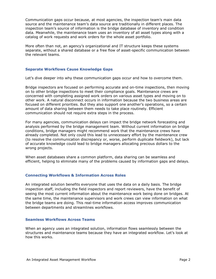Communication gaps occur because, at most agencies, the inspection team's main data source and the maintenance team's data source are traditionally in different places. The inspection team's source of information is the bridge database of inventory and condition data. Meanwhile, the maintenance team uses an inventory of all asset types along with a catalog of work requests and work orders for the whole asset portfolio.

More often than not, an agency's organizational and IT structure keeps these systems separate, without a shared database or a free flow of asset-specific communication between the relevant teams.

#### **Separate Workflows Cause Knowledge Gaps**

Let's dive deeper into why these communication gaps occur and how to overcome them.

Bridge inspectors are focused on performing accurate and on-time inspections, then moving on to other bridge inspections to meet their compliance goals. Maintenance crews are concerned with completing assigned work orders on various asset types and moving on to other work. A natural disconnect occurs in information because the two business areas are focused on different priorities. But they also support one another's operations, so a certain amount of data sharing between them needs to take place routinely. Efficient communication should not require extra steps in the process.

For many agencies, communication delays can impact the bridge network forecasting and analysis performed by the bridge management team. Without current information on bridge conditions, bridge managers might recommend work that the maintenance crews have already completed. Not only could this lead to unnecessary effort by the maintenance crew (to resolve the communication discrepancy or, worse, perform duplicate fieldwork), but lack of accurate knowledge could lead to bridge managers allocating precious dollars to the wrong projects.

When asset databases share a common platform, data sharing can be seamless and efficient, helping to eliminate many of the problems caused by information gaps and delays.

#### **Connecting Workflows & Information Across Roles**

An integrated solution benefits everyone that uses the data on a daily basis. The bridge inspection staff, including the field inspectors and report reviewers, have the benefit of seeing the most current information about the maintenance work being done on bridges. At the same time, the maintenance supervisors and work crews can view information on what the bridge teams are doing. This real-time information access improves communication between departments and streamlines workflows.

#### **Seamless Workflows Across Teams**

When an agency uses an integrated solution, information flows seamlessly between the structures and maintenance teams because they have an integrated workflow. Let's look at how this works.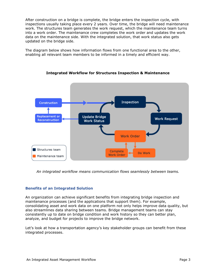After construction on a bridge is complete, the bridge enters the inspection cycle, with inspections usually taking place every 2 years. Over time, the bridge will need maintenance work. The structures team generates the work request, which the maintenance team turns into a work order. The maintenance crew completes the work order and updates the work data on the maintenance side. With the integrated solution, that work status also gets updated on the bridge side.

The diagram below shows how information flows from one functional area to the other, enabling all relevant team members to be informed in a timely and efficient way.



#### **Integrated Workflow for Structures Inspection & Maintenance**

*An integrated workflow means communication flows seamlessly between teams.*

#### **Benefits of an Integrated Solution**

An organization can achieve significant benefits from integrating bridge inspection and maintenance processes (and the applications that support them). For example, consolidating asset and work data on one platform not only helps improve data quality, but also streamlines data sharing between teams. Bridge management teams can stay consistently up to date on bridge condition and work history so they can better plan, analyze, and budget for projects to improve the bridge network.

Let's look at how a transportation agency's key stakeholder groups can benefit from these integrated processes.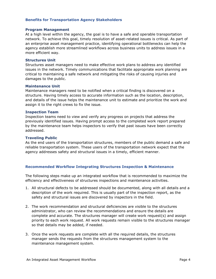#### **Benefits for Transportation Agency Stakeholders**

#### **Program Management**

At a high level within the agency, the goal is to have a safe and operable transportation network. To achieve this goal, timely resolution of asset-related issues is critical. As part of an enterprise asset management practice, identifying operational bottlenecks can help the agency establish more streamlined workflows across business units to address issues in a more efficient way.

#### **Structures Unit**

Structures asset managers need to make effective work plans to address any identified issues in the network. Timely communications that facilitate appropriate work planning are critical to maintaining a safe network and mitigating the risks of causing injuries and damages to the public.

#### **Maintenance Unit**

Maintenance managers need to be notified when a critical finding is discovered on a structure. Having timely access to accurate information such as the location, description, and details of the issue helps the maintenance unit to estimate and prioritize the work and assign it to the right crews to fix the issue.

#### **Inspection Team**

Inspection teams need to view and verify any progress on projects that address the previously identified issues. Having prompt access to the completed work report prepared by the maintenance team helps inspectors to verify that past issues have been correctly addressed.

#### **Traveling Public**

As the end users of the transportation structures, members of the public demand a safe and reliable transportation system. These users of the transportation network expect that the agency addresses safety and structural issues in a timely, efficient manner.

#### **Recommended Workflow Integrating Structures Inspection & Maintenance**

The following steps make up an integrated workflow that is recommended to maximize the efficiency and effectiveness of structures inspections and maintenance activities.

- 1. All structural defects to be addressed should be documented, along with all details and a description of the work required. This is usually part of the inspection report, as the safety and structural issues are discovered by inspectors in the field.
- 2. The work recommendation and structural deficiencies are visible to the structures administrator, who can review the recommendations and ensure the details are complete and accurate. The structures manager will create work request(s) and assign priority to each work request. All work requests remain visible to the structures manager so that details may be added, if needed.
- 3. Once the work requests are complete with all the required details, the structures manager sends the requests from the structures management system to the maintenance management system.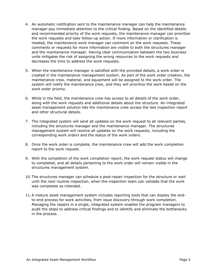- 4. An automatic notification sent to the maintenance manager can help the maintenance manager pay immediate attention to the critical finding. Based on the identified details and recommended priority of the work requests, the maintenance manager can prioritize the work requests and take follow-up action. If more information or clarification is needed, the maintenance work manager can comment on the work requests. These comments or requests for more information are visible to both the structures manager and the maintenance manager. Having clear communication between the two business units mitigates the risk of assigning the wrong resources to the work requests and decreases the time to address the work requests.
- 5. When the maintenance manager is satisfied with the provided details, a work order is created in the maintenance management system. As part of the work order creation, the maintenance crew, material, and equipment will be assigned to the work order. The system will notify the maintenance crew, and they will prioritize the work based on the work order priority.
- 6. While in the field, the maintenance crew has access to all details of the work order, along with the work requests and additional details about the structure. An integrated asset management solution lets the maintenance crew access the last inspection report and other structural details.
- 7. The integrated system will send all updates on the work request to all relevant parties, including the structures manager and the maintenance manager. The structures management system will receive all updates on the work requests, including the corresponding work orders and the status of the work orders.
- 8. Once the work order is complete, the maintenance crew will add the work completion report to the work request.
- 9. With the completion of the work completion report, the work request status will change to completed, and all details pertaining to the work order will remain visible in the structures management system.
- 10. The structures manager can schedule a post-repair inspection for the structure or wait until the next routine inspection, when the inspection team can validate that the work was completed as intended.
- 11.A mature asset management system includes reporting tools that can display the endto-end process for work activities, from issue discovery through work completion. Managing the repairs in a single, integrated system enables the program managers to audit the steps to address critical findings and to identify and eliminate the bottlenecks in the process.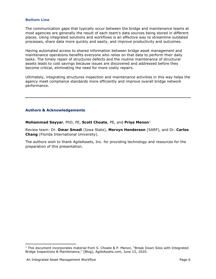#### **Bottom Line**

The communication gaps that typically occur between the bridge and maintenance teams at most agencies are generally the result of each team's data sources being stored in different places. Using integrated solutions and workflows is an effective way to streamline outdated processes, share data more quickly and easily, and improve productivity and outcomes.

Having automated access to shared information between bridge asset management and maintenance operations benefits everyone who relies on that data to perform their daily tasks. The timely repair of structures defects and the routine maintenance of structural assets leads to cost savings because issues are discovered and addressed before they become critical, eliminating the need for more costly repairs.

Ultimately, integrating structures inspection and maintenance activities in this way helps the agency meet compliance standards more efficiently and improve overall bridge network performance.

#### **Authors & Acknowledgements**

**Mohammad Sayyar**, PhD, PE, **Scott Choate**, PE, and **Priya Menon**[1](#page-8-0)

Review team: Dr. **Omar Smadi** (Iowa State), **Mervyn Henderson** (SARF), and Dr. **Carlos Chang** (Florida International University).

The authors wish to thank AgileAssets, Inc. for providing technology and resources for the preparation of this presentation.

 $\overline{\phantom{a}}$ 

<span id="page-8-0"></span> $1$  This document incorporates material from S. Choate & P. Menon, "Break Down Silos with Integrated Bridge Inspections & Maintenance," [Blog], AgileAssets.com, June 15, 2020.